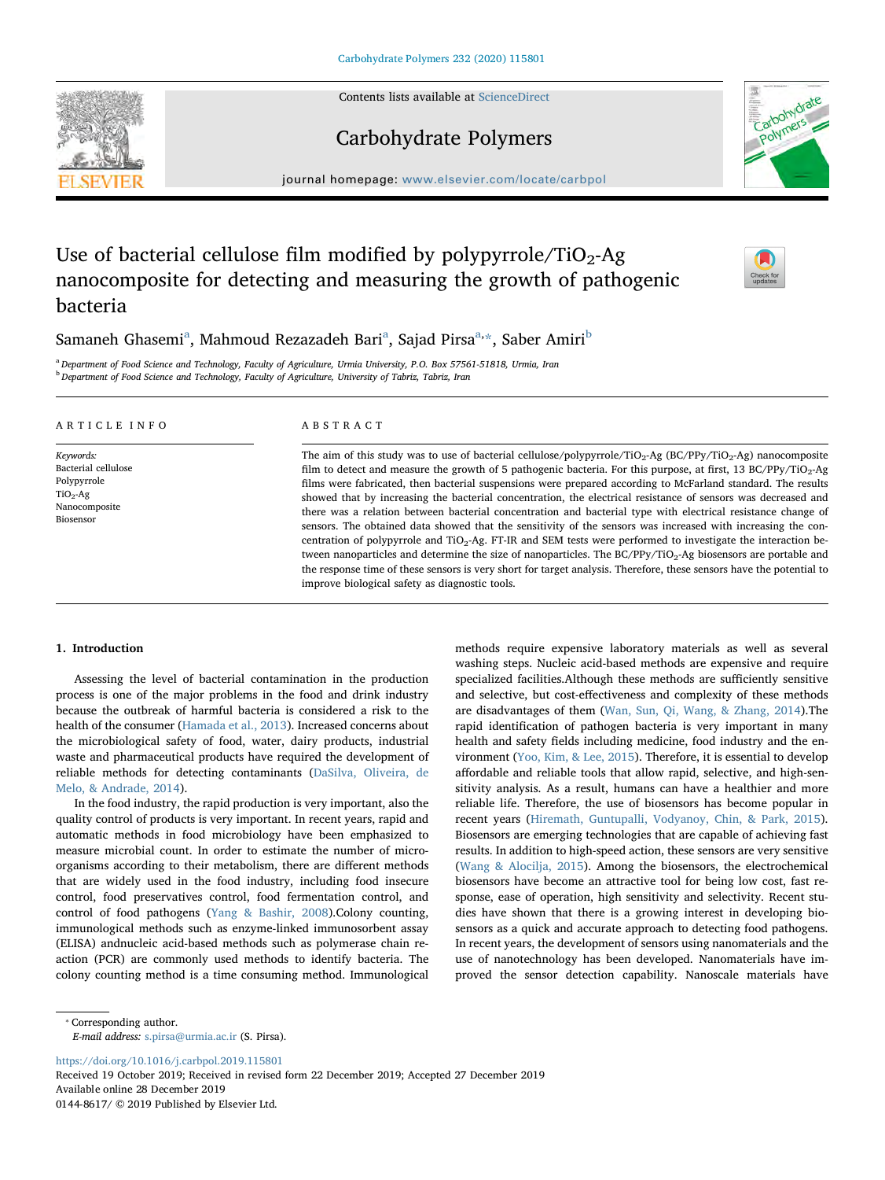Contents lists available at [ScienceDirect](http://www.sciencedirect.com/science/journal/01448617)

# Carbohydrate Polymers

journal homepage: [www.elsevier.com/locate/carbpol](https://www.elsevier.com/locate/carbpol)

# Use of bacterial cellulose film modified by polypyrrole/TiO<sub>2</sub>-Ag nanocomposite for detecting and measuring the growth of pathogenic bacteria

# S[a](#page-0-0)maneh Ghasemi<sup>a</sup>, Mahmoud Rezazadeh Bari<sup>a</sup>, Sajad Pirsa<sup>[a,](#page-0-0)</sup>[\\*,](#page-0-1) Sa[b](#page-0-2)er Amiri<sup>b</sup>

<span id="page-0-2"></span><span id="page-0-0"></span>a Department of Food Science and Technology, Faculty of Agriculture, Urmia University, P.O. Box 57561-51818, Urmia, Iran <sup>b</sup> Department of Food Science and Technology, Faculty of Agriculture, University of Tabriz, Tabriz, Iran

# ARTICLE INFO

Keywords: Bacterial cellulose Polypyrrole  $TiO<sub>2</sub>-Ag$ Nanocomposite Biosensor

# ABSTRACT

The aim of this study was to use of bacterial cellulose/polypyrrole/TiO<sub>2</sub>-Ag (BC/PPy/TiO<sub>2</sub>-Ag) nanocomposite film to detect and measure the growth of 5 pathogenic bacteria. For this purpose, at first, 13 BC/PPy/TiO<sub>2</sub>-Ag films were fabricated, then bacterial suspensions were prepared according to McFarland standard. The results showed that by increasing the bacterial concentration, the electrical resistance of sensors was decreased and there was a relation between bacterial concentration and bacterial type with electrical resistance change of sensors. The obtained data showed that the sensitivity of the sensors was increased with increasing the concentration of polypyrrole and  $TiO<sub>2</sub>-Ag$ . FT-IR and SEM tests were performed to investigate the interaction between nanoparticles and determine the size of nanoparticles. The BC/PPy/TiO<sub>2</sub>-Ag biosensors are portable and the response time of these sensors is very short for target analysis. Therefore, these sensors have the potential to improve biological safety as diagnostic tools.

# 1. Introduction

Assessing the level of bacterial contamination in the production process is one of the major problems in the food and drink industry because the outbreak of harmful bacteria is considered a risk to the health of the consumer ([Hamada et al., 2013](#page-8-0)). Increased concerns about the microbiological safety of food, water, dairy products, industrial waste and pharmaceutical products have required the development of reliable methods for detecting contaminants [\(DaSilva, Oliveira, de](#page-8-1) [Melo, & Andrade, 2014](#page-8-1)).

In the food industry, the rapid production is very important, also the quality control of products is very important. In recent years, rapid and automatic methods in food microbiology have been emphasized to measure microbial count. In order to estimate the number of microorganisms according to their metabolism, there are different methods that are widely used in the food industry, including food insecure control, food preservatives control, food fermentation control, and control of food pathogens [\(Yang & Bashir, 2008](#page-8-2)).Colony counting, immunological methods such as enzyme-linked immunosorbent assay (ELISA) andnucleic acid-based methods such as polymerase chain reaction (PCR) are commonly used methods to identify bacteria. The colony counting method is a time consuming method. Immunological

methods require expensive laboratory materials as well as several washing steps. Nucleic acid-based methods are expensive and require specialized facilities.Although these methods are sufficiently sensitive and selective, but cost-effectiveness and complexity of these methods are disadvantages of them ([Wan, Sun, Qi, Wang, & Zhang, 2014](#page-8-3)).The rapid identification of pathogen bacteria is very important in many health and safety fields including medicine, food industry and the environment [\(Yoo, Kim, & Lee, 2015](#page-8-4)). Therefore, it is essential to develop affordable and reliable tools that allow rapid, selective, and high-sensitivity analysis. As a result, humans can have a healthier and more reliable life. Therefore, the use of biosensors has become popular in recent years [\(Hiremath, Guntupalli, Vodyanoy, Chin, & Park, 2015](#page-8-5)). Biosensors are emerging technologies that are capable of achieving fast results. In addition to high-speed action, these sensors are very sensitive ([Wang & Alocilja, 2015](#page-8-6)). Among the biosensors, the electrochemical biosensors have become an attractive tool for being low cost, fast response, ease of operation, high sensitivity and selectivity. Recent studies have shown that there is a growing interest in developing biosensors as a quick and accurate approach to detecting food pathogens. In recent years, the development of sensors using nanomaterials and the use of nanotechnology has been developed. Nanomaterials have improved the sensor detection capability. Nanoscale materials have

<span id="page-0-1"></span>⁎ Corresponding author.

E-mail address: [s.pirsa@urmia.ac.ir](mailto:s.pirsa@urmia.ac.ir) (S. Pirsa).

<https://doi.org/10.1016/j.carbpol.2019.115801>

Received 19 October 2019; Received in revised form 22 December 2019; Accepted 27 December 2019 Available online 28 December 2019 0144-8617/ © 2019 Published by Elsevier Ltd.





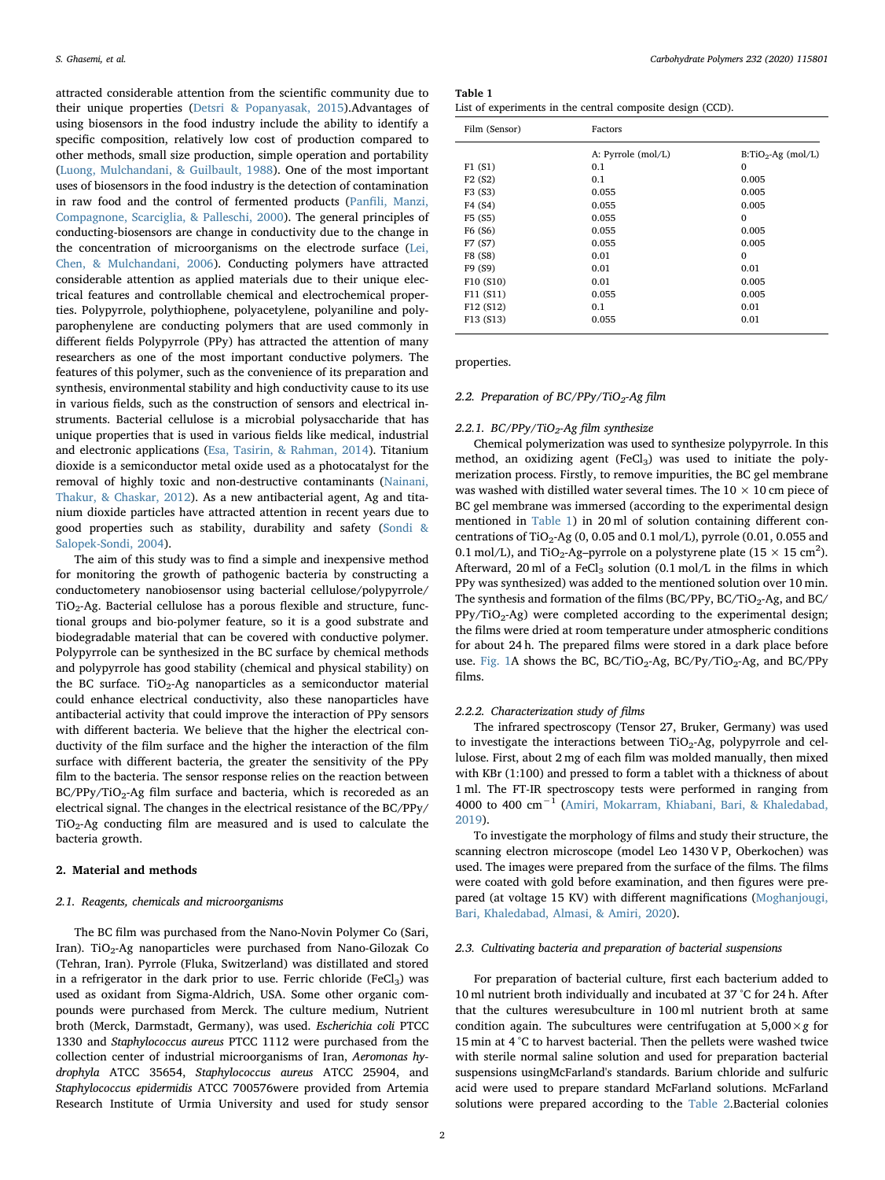attracted considerable attention from the scientific community due to their unique properties [\(Detsri & Popanyasak, 2015](#page-8-7)).Advantages of using biosensors in the food industry include the ability to identify a specific composition, relatively low cost of production compared to other methods, small size production, simple operation and portability ([Luong, Mulchandani, & Guilbault, 1988\)](#page-8-8). One of the most important uses of biosensors in the food industry is the detection of contamination in raw food and the control of fermented products (Panfi[li, Manzi,](#page-8-9) [Compagnone, Scarciglia, & Palleschi, 2000\)](#page-8-9). The general principles of conducting-biosensors are change in conductivity due to the change in the concentration of microorganisms on the electrode surface ([Lei,](#page-8-10) [Chen, & Mulchandani, 2006\)](#page-8-10). Conducting polymers have attracted considerable attention as applied materials due to their unique electrical features and controllable chemical and electrochemical properties. Polypyrrole, polythiophene, polyacetylene, polyaniline and polyparophenylene are conducting polymers that are used commonly in different fields Polypyrrole (PPy) has attracted the attention of many researchers as one of the most important conductive polymers. The features of this polymer, such as the convenience of its preparation and synthesis, environmental stability and high conductivity cause to its use in various fields, such as the construction of sensors and electrical instruments. Bacterial cellulose is a microbial polysaccharide that has unique properties that is used in various fields like medical, industrial and electronic applications [\(Esa, Tasirin, & Rahman, 2014](#page-8-11)). Titanium dioxide is a semiconductor metal oxide used as a photocatalyst for the removal of highly toxic and non-destructive contaminants ([Nainani,](#page-8-12) [Thakur, & Chaskar, 2012](#page-8-12)). As a new antibacterial agent, Ag and titanium dioxide particles have attracted attention in recent years due to good properties such as stability, durability and safety ([Sondi &](#page-8-13) [Salopek-Sondi, 2004](#page-8-13)).

The aim of this study was to find a simple and inexpensive method for monitoring the growth of pathogenic bacteria by constructing a conductometery nanobiosensor using bacterial cellulose/polypyrrole/  $TiO<sub>2</sub>$ -Ag. Bacterial cellulose has a porous flexible and structure, functional groups and bio-polymer feature, so it is a good substrate and biodegradable material that can be covered with conductive polymer. Polypyrrole can be synthesized in the BC surface by chemical methods and polypyrrole has good stability (chemical and physical stability) on the BC surface. TiO<sub>2</sub>-Ag nanoparticles as a semiconductor material could enhance electrical conductivity, also these nanoparticles have antibacterial activity that could improve the interaction of PPy sensors with different bacteria. We believe that the higher the electrical conductivity of the film surface and the higher the interaction of the film surface with different bacteria, the greater the sensitivity of the PPy film to the bacteria. The sensor response relies on the reaction between  $BC/PPy/TiO<sub>2</sub>$ -Ag film surface and bacteria, which is recoreded as an electrical signal. The changes in the electrical resistance of the BC/PPy/  $TiO<sub>2</sub>$ -Ag conducting film are measured and is used to calculate the bacteria growth.

# 2. Material and methods

# 2.1. Reagents, chemicals and microorganisms

The BC film was purchased from the Nano-Novin Polymer Co (Sari, Iran). TiO<sub>2</sub>-Ag nanoparticles were purchased from Nano-Gilozak Co (Tehran, Iran). Pyrrole (Fluka, Switzerland) was distillated and stored in a refrigerator in the dark prior to use. Ferric chloride (FeCl<sub>3</sub>) was used as oxidant from Sigma-Aldrich, USA. Some other organic compounds were purchased from Merck. The culture medium, Nutrient broth (Merck, Darmstadt, Germany), was used. Escherichia coli PTCC 1330 and Staphylococcus aureus PTCC 1112 were purchased from the collection center of industrial microorganisms of Iran, Aeromonas hydrophyla ATCC 35654, Staphylococcus aureus ATCC 25904, and Staphylococcus epidermidis ATCC 700576were provided from Artemia Research Institute of Urmia University and used for study sensor

<span id="page-1-0"></span>

| Table 1                                                    |  |  |
|------------------------------------------------------------|--|--|
| List of experiments in the central composite design (CCD). |  |  |

| Film (Sensor)                    | Factors            |                       |  |  |  |  |
|----------------------------------|--------------------|-----------------------|--|--|--|--|
|                                  | A: Pyrrole (mol/L) | $B: TiO2$ -Ag (mol/L) |  |  |  |  |
| F1(S1)                           | 0.1                | $\mathbf{0}$          |  |  |  |  |
| F <sub>2</sub> (S <sub>2</sub> ) | 0.1                | 0.005                 |  |  |  |  |
| F3 (S3)                          | 0.055              | 0.005                 |  |  |  |  |
| F4 (S4)                          | 0.055              | 0.005                 |  |  |  |  |
| F5 (S5)                          | 0.055              | $\mathbf{0}$          |  |  |  |  |
| F <sub>6</sub> (S <sub>6</sub> ) | 0.055              | 0.005                 |  |  |  |  |
| F7 (S7)                          | 0.055              | 0.005                 |  |  |  |  |
| F8 (S8)                          | 0.01               | $\mathbf{0}$          |  |  |  |  |
| F9 (S9)                          | 0.01               | 0.01                  |  |  |  |  |
| F10 (S10)                        | 0.01               | 0.005                 |  |  |  |  |
| F11 (S11)                        | 0.055              | 0.005                 |  |  |  |  |
| F12 (S12)                        | 0.1                | 0.01                  |  |  |  |  |
| F13 (S13)                        | 0.055              | 0.01                  |  |  |  |  |
|                                  |                    |                       |  |  |  |  |

properties.

# 2.2. Preparation of  $BC/PPy/TiO<sub>2</sub>$ -Ag film

# 2.2.1. BC/PPy/TiO<sub>2</sub>-Ag film synthesize

Chemical polymerization was used to synthesize polypyrrole. In this method, an oxidizing agent  $(FeCl<sub>3</sub>)$  was used to initiate the polymerization process. Firstly, to remove impurities, the BC gel membrane was washed with distilled water several times. The  $10 \times 10$  cm piece of BC gel membrane was immersed (according to the experimental design mentioned in [Table 1\)](#page-1-0) in 20 ml of solution containing different concentrations of TiO<sub>2</sub>-Ag (0, 0.05 and 0.1 mol/L), pyrrole (0.01, 0.055 and 0.1 mol/L), and TiO<sub>2</sub>-Ag-pyrrole on a polystyrene plate ( $15 \times 15$  cm<sup>2</sup>). Afterward, 20 ml of a FeCl<sub>3</sub> solution (0.1 mol/L in the films in which PPy was synthesized) was added to the mentioned solution over 10 min. The synthesis and formation of the films (BC/PPy, BC/TiO<sub>2</sub>-Ag, and BC/  $PPy/TiO<sub>2</sub>-Ag$ ) were completed according to the experimental design; the films were dried at room temperature under atmospheric conditions for about 24 h. The prepared films were stored in a dark place before use. [Fig. 1](#page-2-0)A shows the BC,  $BC/TiO<sub>2</sub>-Ag$ ,  $BC/Py/TiO<sub>2</sub>-Ag$ , and  $BC/PPy$ films.

# 2.2.2. Characterization study of films

The infrared spectroscopy (Tensor 27, Bruker, Germany) was used to investigate the interactions between  $TiO<sub>2</sub>$ -Ag, polypyrrole and cellulose. First, about 2 mg of each film was molded manually, then mixed with KBr (1:100) and pressed to form a tablet with a thickness of about 1 ml. The FT-IR spectroscopy tests were performed in ranging from 4000 to 400 cm−<sup>1</sup> ([Amiri, Mokarram, Khiabani, Bari, & Khaledabad,](#page-8-14) [2019\)](#page-8-14).

To investigate the morphology of films and study their structure, the scanning electron microscope (model Leo 1430 V P, Oberkochen) was used. The images were prepared from the surface of the films. The films were coated with gold before examination, and then figures were prepared (at voltage 15 KV) with different magnifications ([Moghanjougi,](#page-8-15) [Bari, Khaledabad, Almasi, & Amiri, 2020\)](#page-8-15).

# 2.3. Cultivating bacteria and preparation of bacterial suspensions

For preparation of bacterial culture, first each bacterium added to 10 ml nutrient broth individually and incubated at 37 °C for 24 h. After that the cultures weresubculture in 100 ml nutrient broth at same condition again. The subcultures were centrifugation at  $5,000 \times g$  for 15 min at 4 °C to harvest bacterial. Then the pellets were washed twice with sterile normal saline solution and used for preparation bacterial suspensions usingMcFarland's standards. Barium chloride and sulfuric acid were used to prepare standard McFarland solutions. McFarland solutions were prepared according to the [Table 2.](#page-2-1)Bacterial colonies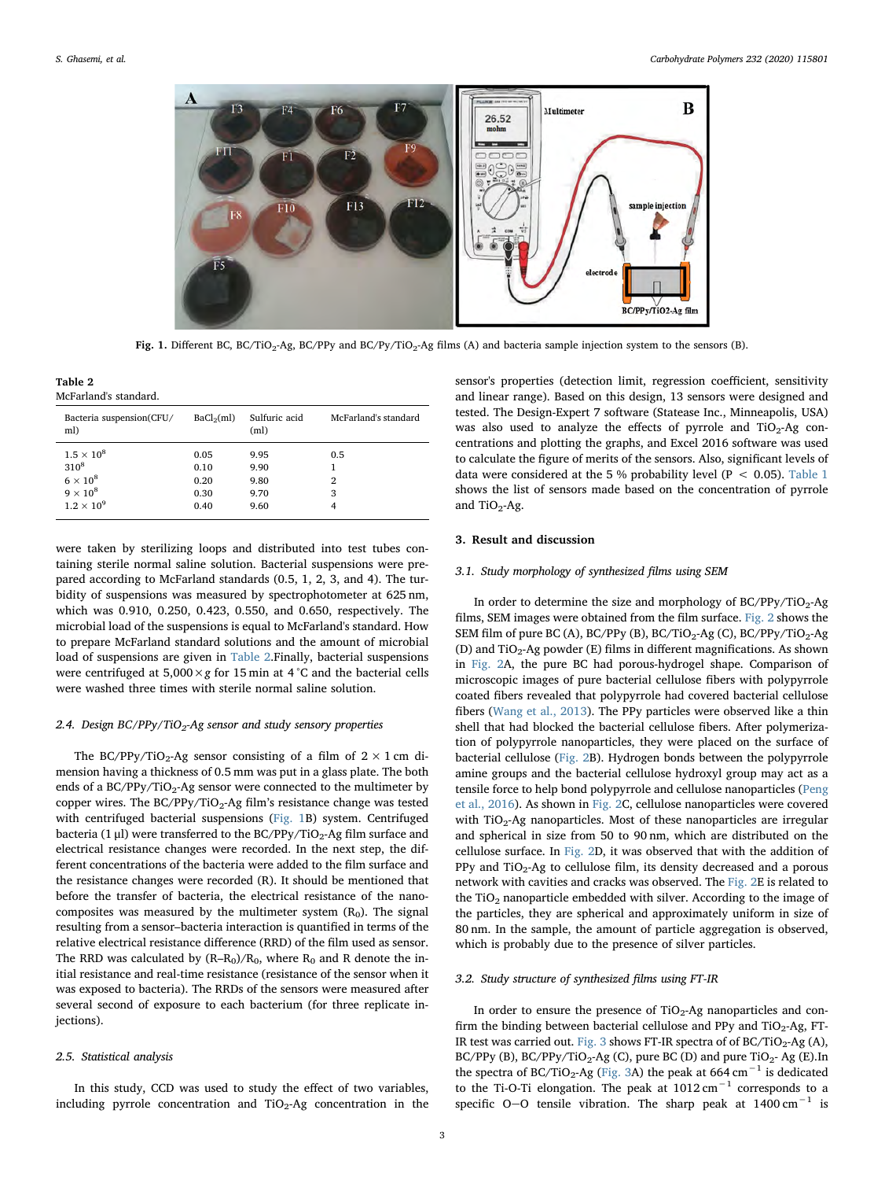<span id="page-2-0"></span>

Fig. 1. Different BC, BC/TiO<sub>2</sub>-Ag, BC/PPy and BC/Py/TiO<sub>2</sub>-Ag films (A) and bacteria sample injection system to the sensors (B).

<span id="page-2-1"></span>Table 2 McFarland's standard.

| Bacteria suspension(CFU/<br>ml)                   | BaCl <sub>2</sub> (ml) | Sulfuric acid<br>(ml) | McFarland's standard |
|---------------------------------------------------|------------------------|-----------------------|----------------------|
| $1.5 \times 10^8$<br>$310^{8}$<br>$6 \times 10^8$ | 0.05<br>0.10<br>0.20   | 9.95<br>9.90<br>9.80  | 0.5<br>2             |
| $9 \times 10^8$<br>$1.2 \times 10^9$              | 0.30<br>0.40           | 9.70<br>9.60          | 3                    |

were taken by sterilizing loops and distributed into test tubes containing sterile normal saline solution. Bacterial suspensions were prepared according to McFarland standards (0.5, 1, 2, 3, and 4). The turbidity of suspensions was measured by spectrophotometer at 625 nm, which was 0.910, 0.250, 0.423, 0.550, and 0.650, respectively. The microbial load of the suspensions is equal to McFarland's standard. How to prepare McFarland standard solutions and the amount of microbial load of suspensions are given in [Table 2](#page-2-1).Finally, bacterial suspensions were centrifuged at  $5,000 \times g$  for 15 min at 4 °C and the bacterial cells were washed three times with sterile normal saline solution.

# 2.4. Design  $BC/PPy/TiO<sub>2</sub>$ -Ag sensor and study sensory properties

The BC/PPy/TiO<sub>2</sub>-Ag sensor consisting of a film of  $2 \times 1$  cm dimension having a thickness of 0.5 mm was put in a glass plate. The both ends of a  $BC/PPV/TiO<sub>2</sub>$ -Ag sensor were connected to the multimeter by copper wires. The BC/PPy/TiO<sub>2</sub>-Ag film's resistance change was tested with centrifuged bacterial suspensions [\(Fig. 1B](#page-2-0)) system. Centrifuged bacteria (1  $\mu$ l) were transferred to the BC/PPy/TiO<sub>2</sub>-Ag film surface and electrical resistance changes were recorded. In the next step, the different concentrations of the bacteria were added to the film surface and the resistance changes were recorded (R). It should be mentioned that before the transfer of bacteria, the electrical resistance of the nanocomposites was measured by the multimeter system  $(R_0)$ . The signal resulting from a sensor–bacteria interaction is quantified in terms of the relative electrical resistance difference (RRD) of the film used as sensor. The RRD was calculated by  $(R–R<sub>0</sub>)/R<sub>0</sub>$ , where  $R<sub>0</sub>$  and R denote the initial resistance and real-time resistance (resistance of the sensor when it was exposed to bacteria). The RRDs of the sensors were measured after several second of exposure to each bacterium (for three replicate iniections).

#### 2.5. Statistical analysis

In this study, CCD was used to study the effect of two variables, including pyrrole concentration and  $TiO<sub>2</sub>$ -Ag concentration in the sensor's properties (detection limit, regression coefficient, sensitivity and linear range). Based on this design, 13 sensors were designed and tested. The Design-Expert 7 software (Statease Inc., Minneapolis, USA) was also used to analyze the effects of pyrrole and  $TiO<sub>2</sub>$ -Ag concentrations and plotting the graphs, and Excel 2016 software was used to calculate the figure of merits of the sensors. Also, significant levels of data were considered at the 5 % probability level ( $P < 0.05$ ). [Table 1](#page-1-0) shows the list of sensors made based on the concentration of pyrrole and TiO<sub>2</sub>-Ag.

# 3. Result and discussion

# 3.1. Study morphology of synthesized films using SEM

In order to determine the size and morphology of  $BC/PPV/TiO<sub>2</sub>-Ag$ films, SEM images were obtained from the film surface. [Fig. 2](#page-3-0) shows the SEM film of pure BC (A), BC/PPy (B), BC/TiO<sub>2</sub>-Ag (C), BC/PPy/TiO<sub>2</sub>-Ag (D) and  $TiO<sub>2</sub>$ -Ag powder (E) films in different magnifications. As shown in [Fig. 2](#page-3-0)A, the pure BC had porous-hydrogel shape. Comparison of microscopic images of pure bacterial cellulose fibers with polypyrrole coated fibers revealed that polypyrrole had covered bacterial cellulose fibers ([Wang et al., 2013](#page-8-16)). The PPy particles were observed like a thin shell that had blocked the bacterial cellulose fibers. After polymerization of polypyrrole nanoparticles, they were placed on the surface of bacterial cellulose [\(Fig. 2B](#page-3-0)). Hydrogen bonds between the polypyrrole amine groups and the bacterial cellulose hydroxyl group may act as a tensile force to help bond polypyrrole and cellulose nanoparticles [\(Peng](#page-8-17) [et al., 2016](#page-8-17)). As shown in [Fig. 2C](#page-3-0), cellulose nanoparticles were covered with TiO<sub>2</sub>-Ag nanoparticles. Most of these nanoparticles are irregular and spherical in size from 50 to 90 nm, which are distributed on the cellulose surface. In [Fig. 2](#page-3-0)D, it was observed that with the addition of PPy and  $TiO<sub>2</sub>$ -Ag to cellulose film, its density decreased and a porous network with cavities and cracks was observed. The [Fig. 2E](#page-3-0) is related to the TiO<sub>2</sub> nanoparticle embedded with silver. According to the image of the particles, they are spherical and approximately uniform in size of 80 nm. In the sample, the amount of particle aggregation is observed, which is probably due to the presence of silver particles.

# 3.2. Study structure of synthesized films using FT-IR

In order to ensure the presence of  $TiO<sub>2</sub>$ -Ag nanoparticles and confirm the binding between bacterial cellulose and PPy and  $TiO<sub>2</sub>-Ag$ , FT-IR test was carried out. [Fig. 3](#page-4-0) shows FT-IR spectra of of  $BC/TiO<sub>2</sub>$ -Ag (A), BC/PPy (B), BC/PPy/TiO<sub>2</sub>-Ag (C), pure BC (D) and pure TiO<sub>2</sub>-Ag (E).In the spectra of BC/TiO<sub>2</sub>-Ag ([Fig. 3](#page-4-0)A) the peak at 664 cm<sup>-1</sup> is dedicated to the Ti-O-Ti elongation. The peak at  $1012 \text{ cm}^{-1}$  corresponds to a specific O-O tensile vibration. The sharp peak at  $1400 \text{ cm}^{-1}$  is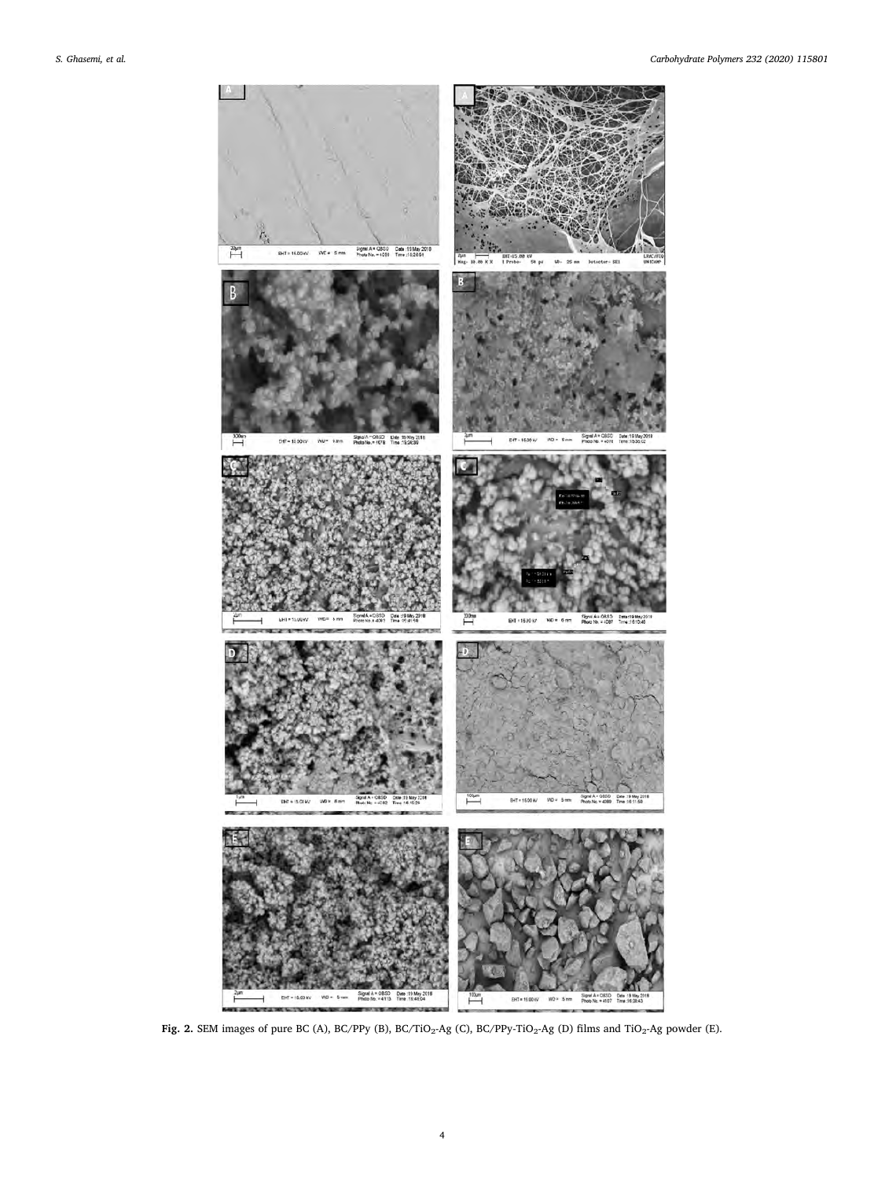<span id="page-3-0"></span>

Fig. 2. SEM images of pure BC (A), BC/PPy (B), BC/TiO<sub>2</sub>-Ag (C), BC/PPy-TiO<sub>2</sub>-Ag (D) films and TiO<sub>2</sub>-Ag powder (E).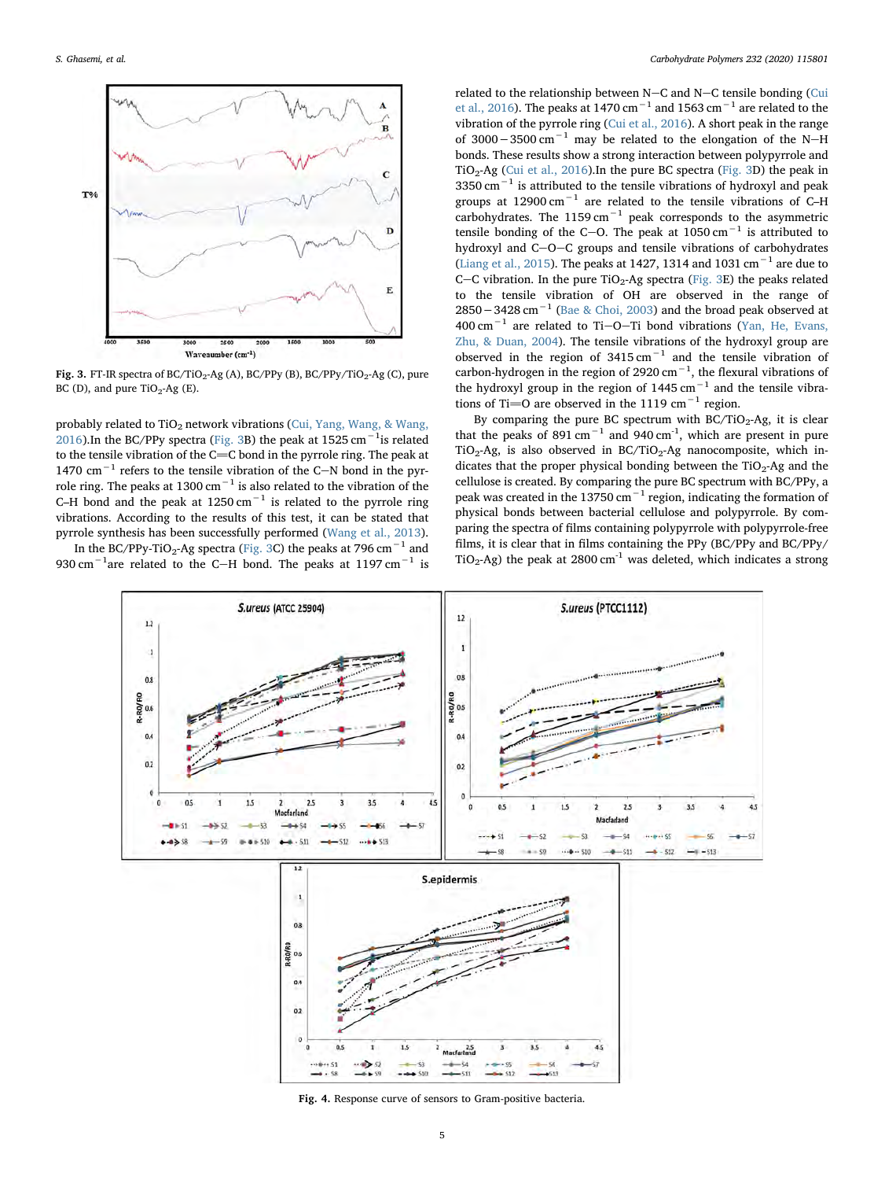<span id="page-4-0"></span>

Fig. 3. FT-IR spectra of BC/TiO<sub>2</sub>-Ag (A), BC/PPy (B), BC/PPy/TiO<sub>2</sub>-Ag (C), pure BC (D), and pure  $TiO<sub>2</sub>$ -Ag (E).

probably related to  $TiO<sub>2</sub>$  network vibrations [\(Cui, Yang, Wang, & Wang,](#page-8-18) [2016\)](#page-8-18).In the BC/PPy spectra [\(Fig. 3](#page-4-0)B) the peak at 1525 cm<sup>-1</sup>is related to the tensile vibration of the  $C=C$  bond in the pyrrole ring. The peak at 1470 cm<sup>-1</sup> refers to the tensile vibration of the C-N bond in the pyrrole ring. The peaks at 1300 cm−<sup>1</sup> is also related to the vibration of the C–H bond and the peak at  $1250 \text{ cm}^{-1}$  is related to the pyrrole ring vibrations. According to the results of this test, it can be stated that pyrrole synthesis has been successfully performed [\(Wang et al., 2013](#page-8-16)).

In the BC/PPy-TiO2-Ag spectra ([Fig. 3C](#page-4-0)) the peaks at 796 cm<sup>−</sup><sup>1</sup> and 930 cm $^{-1}$ are related to the C-H bond. The peaks at 1197 cm $^{-1}$  is

related to the relationship between  $N-C$  and  $N-C$  tensile bonding ([Cui](#page-8-18) [et al., 2016](#page-8-18)). The peaks at 1470 cm<sup>-1</sup> and 1563 cm<sup>-1</sup> are related to the vibration of the pyrrole ring [\(Cui et al., 2016\)](#page-8-18). A short peak in the range of 3000 – 3500 cm<sup>-1</sup> may be related to the elongation of the N–H bonds. These results show a strong interaction between polypyrrole and TiO2-Ag ([Cui et al., 2016\)](#page-8-18).In the pure BC spectra [\(Fig. 3D](#page-4-0)) the peak in  $3350 \text{ cm}^{-1}$  is attributed to the tensile vibrations of hydroxyl and peak groups at 12900 cm−<sup>1</sup> are related to the tensile vibrations of C–H carbohydrates. The  $1159 \text{ cm}^{-1}$  peak corresponds to the asymmetric tensile bonding of the C-O. The peak at  $1050 \text{ cm}^{-1}$  is attributed to hydroxyl and  $C-O-C$  groups and tensile vibrations of carbohydrates ([Liang et al., 2015\)](#page-8-19). The peaks at 1427, 1314 and 1031 cm<sup>-1</sup> are due to C-C vibration. In the pure  $TiO<sub>2</sub>$ -Ag spectra [\(Fig. 3E](#page-4-0)) the peaks related to the tensile vibration of OH are observed in the range of 2850 − 3428 cm<sup>-1</sup> [\(Bae & Choi, 2003\)](#page-8-20) and the broad peak observed at 400 cm<sup>-1</sup> are related to Ti-O-Ti bond vibrations [\(Yan, He, Evans,](#page-8-21) [Zhu, & Duan, 2004\)](#page-8-21). The tensile vibrations of the hydroxyl group are observed in the region of  $3415 \text{ cm}^{-1}$  and the tensile vibration of carbon-hydrogen in the region of 2920  $cm^{-1}$ , the flexural vibrations of the hydroxyl group in the region of 1445 cm<sup> $-1$ </sup> and the tensile vibrations of Ti=O are observed in the 1119 cm<sup>-1</sup> region.

By comparing the pure BC spectrum with  $BC/TiO_2-Ag$ , it is clear that the peaks of 891 cm<sup>-1</sup> and 940 cm<sup>-1</sup>, which are present in pure  $TiO<sub>2</sub>-Ag$ , is also observed in BC/TiO<sub>2</sub>-Ag nanocomposite, which indicates that the proper physical bonding between the  $TiO<sub>2</sub>$ -Ag and the cellulose is created. By comparing the pure BC spectrum with BC/PPy, a peak was created in the 13750 cm<sup> $-1$ </sup> region, indicating the formation of physical bonds between bacterial cellulose and polypyrrole. By comparing the spectra of films containing polypyrrole with polypyrrole-free films, it is clear that in films containing the PPy (BC/PPy and BC/PPy/ TiO<sub>2</sub>-Ag) the peak at 2800 cm<sup>-1</sup> was deleted, which indicates a strong

<span id="page-4-1"></span>

Fig. 4. Response curve of sensors to Gram-positive bacteria.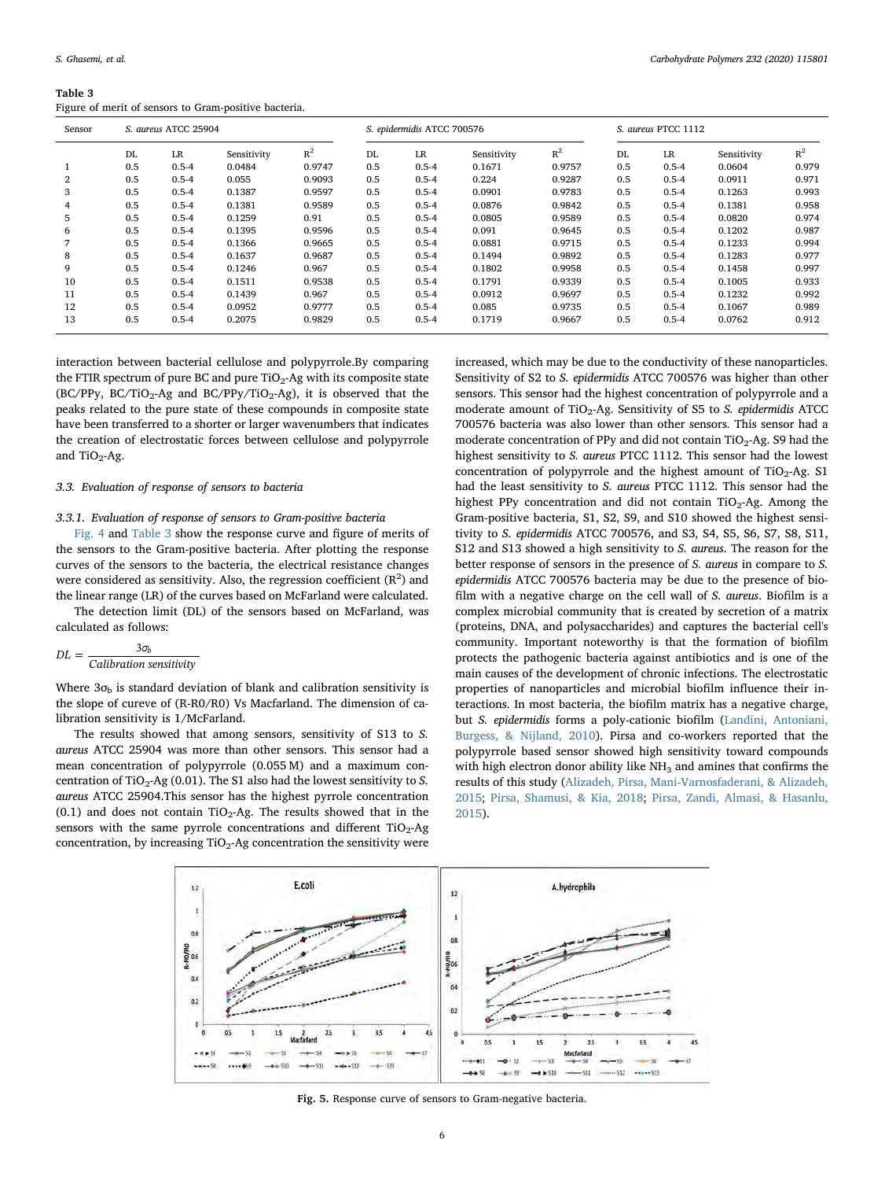<span id="page-5-0"></span>

| Table 3                                               |  |
|-------------------------------------------------------|--|
| Figure of merit of sensors to Gram-positive bacteria. |  |

| Sensor | S. aureus ATCC 25904 |           |             | S. epidermidis ATCC 700576 |     |           | S. aureus PTCC 1112 |        |     |           |             |       |
|--------|----------------------|-----------|-------------|----------------------------|-----|-----------|---------------------|--------|-----|-----------|-------------|-------|
|        | DL                   | <b>LR</b> | Sensitivity | $R^2$                      | DL  | LR        | Sensitivity         | $R^2$  | DL  | LR        | Sensitivity | $R^2$ |
|        | 0.5                  | $0.5 - 4$ | 0.0484      | 0.9747                     | 0.5 | $0.5 - 4$ | 0.1671              | 0.9757 | 0.5 | $0.5 - 4$ | 0.0604      | 0.979 |
| 2      | 0.5                  | $0.5 - 4$ | 0.055       | 0.9093                     | 0.5 | $0.5 - 4$ | 0.224               | 0.9287 | 0.5 | $0.5 - 4$ | 0.0911      | 0.971 |
| 3      | 0.5                  | $0.5 - 4$ | 0.1387      | 0.9597                     | 0.5 | $0.5 - 4$ | 0.0901              | 0.9783 | 0.5 | $0.5 - 4$ | 0.1263      | 0.993 |
| 4      | 0.5                  | $0.5 - 4$ | 0.1381      | 0.9589                     | 0.5 | $0.5 - 4$ | 0.0876              | 0.9842 | 0.5 | $0.5 - 4$ | 0.1381      | 0.958 |
| 5      | 0.5                  | $0.5 - 4$ | 0.1259      | 0.91                       | 0.5 | $0.5 - 4$ | 0.0805              | 0.9589 | 0.5 | $0.5 - 4$ | 0.0820      | 0.974 |
| 6      | 0.5                  | $0.5 - 4$ | 0.1395      | 0.9596                     | 0.5 | $0.5 - 4$ | 0.091               | 0.9645 | 0.5 | $0.5 - 4$ | 0.1202      | 0.987 |
| 7      | 0.5                  | $0.5 - 4$ | 0.1366      | 0.9665                     | 0.5 | $0.5 - 4$ | 0.0881              | 0.9715 | 0.5 | $0.5 - 4$ | 0.1233      | 0.994 |
| 8      | 0.5                  | $0.5 - 4$ | 0.1637      | 0.9687                     | 0.5 | $0.5 - 4$ | 0.1494              | 0.9892 | 0.5 | $0.5 - 4$ | 0.1283      | 0.977 |
| 9      | 0.5                  | $0.5 - 4$ | 0.1246      | 0.967                      | 0.5 | $0.5 - 4$ | 0.1802              | 0.9958 | 0.5 | $0.5 - 4$ | 0.1458      | 0.997 |
| 10     | 0.5                  | $0.5 - 4$ | 0.1511      | 0.9538                     | 0.5 | $0.5 - 4$ | 0.1791              | 0.9339 | 0.5 | $0.5 - 4$ | 0.1005      | 0.933 |
| 11     | 0.5                  | $0.5 - 4$ | 0.1439      | 0.967                      | 0.5 | $0.5 - 4$ | 0.0912              | 0.9697 | 0.5 | $0.5 - 4$ | 0.1232      | 0.992 |
| 12     | 0.5                  | $0.5 - 4$ | 0.0952      | 0.9777                     | 0.5 | $0.5 - 4$ | 0.085               | 0.9735 | 0.5 | $0.5 - 4$ | 0.1067      | 0.989 |
| 13     | 0.5                  | $0.5 - 4$ | 0.2075      | 0.9829                     | 0.5 | $0.5 - 4$ | 0.1719              | 0.9667 | 0.5 | $0.5 - 4$ | 0.0762      | 0.912 |

interaction between bacterial cellulose and polypyrrole.By comparing the FTIR spectrum of pure BC and pure  $TiO<sub>2</sub>$ -Ag with its composite state (BC/PPy, BC/TiO<sub>2</sub>-Ag and BC/PPy/TiO<sub>2</sub>-Ag), it is observed that the peaks related to the pure state of these compounds in composite state have been transferred to a shorter or larger wavenumbers that indicates the creation of electrostatic forces between cellulose and polypyrrole and  $TiO<sub>2</sub>-Ag$ .

# 3.3. Evaluation of response of sensors to bacteria

# 3.3.1. Evaluation of response of sensors to Gram-positive bacteria

[Fig. 4](#page-4-1) and [Table 3](#page-5-0) show the response curve and figure of merits of the sensors to the Gram-positive bacteria. After plotting the response curves of the sensors to the bacteria, the electrical resistance changes were considered as sensitivity. Also, the regression coefficient  $(R^2)$  and the linear range (LR) of the curves based on McFarland were calculated.

The detection limit (DL) of the sensors based on McFarland, was calculated as follows:

$$
DL = \frac{3\sigma_b}{Calibration\ sensitivity}
$$

Where  $3\sigma_b$  is standard deviation of blank and calibration sensitivity is the slope of cureve of (R-R0/R0) Vs Macfarland. The dimension of calibration sensitivity is 1/McFarland.

The results showed that among sensors, sensitivity of S13 to S. aureus ATCC 25904 was more than other sensors. This sensor had a mean concentration of polypyrrole (0.055 M) and a maximum concentration of TiO<sub>2</sub>-Ag (0.01). The S1 also had the lowest sensitivity to S. aureus ATCC 25904.This sensor has the highest pyrrole concentration (0.1) and does not contain  $TiO<sub>2</sub>$ -Ag. The results showed that in the sensors with the same pyrrole concentrations and different  $TiO<sub>2</sub>$ -Ag concentration, by increasing  $TiO<sub>2</sub>$ -Ag concentration the sensitivity were increased, which may be due to the conductivity of these nanoparticles. Sensitivity of S2 to S. epidermidis ATCC 700576 was higher than other sensors. This sensor had the highest concentration of polypyrrole and a moderate amount of  $TiO<sub>2</sub>$ -Ag. Sensitivity of S5 to S. epidermidis ATCC 700576 bacteria was also lower than other sensors. This sensor had a moderate concentration of PPy and did not contain  $TiO<sub>2</sub>$ -Ag. S9 had the highest sensitivity to S. aureus PTCC 1112. This sensor had the lowest concentration of polypyrrole and the highest amount of  $TiO<sub>2</sub>$ -Ag. S1 had the least sensitivity to S. aureus PTCC 1112. This sensor had the highest PPy concentration and did not contain  $TiO<sub>2</sub>$ -Ag. Among the Gram-positive bacteria, S1, S2, S9, and S10 showed the highest sensitivity to S. epidermidis ATCC 700576, and S3, S4, S5, S6, S7, S8, S11, S12 and S13 showed a high sensitivity to S. aureus. The reason for the better response of sensors in the presence of S. aureus in compare to S. epidermidis ATCC 700576 bacteria may be due to the presence of biofilm with a negative charge on the cell wall of S. aureus. Biofilm is a complex microbial community that is created by secretion of a matrix (proteins, DNA, and polysaccharides) and captures the bacterial cell's community. Important noteworthy is that the formation of biofilm protects the pathogenic bacteria against antibiotics and is one of the main causes of the development of chronic infections. The electrostatic properties of nanoparticles and microbial biofilm influence their interactions. In most bacteria, the biofilm matrix has a negative charge, but S. epidermidis forms a poly-cationic biofilm ([Landini, Antoniani,](#page-8-22) [Burgess, & Nijland, 2010\)](#page-8-22). Pirsa and co-workers reported that the polypyrrole based sensor showed high sensitivity toward compounds with high electron donor ability like  $NH<sub>3</sub>$  and amines that confirms the results of this study ([Alizadeh, Pirsa, Mani-Varnosfaderani, & Alizadeh,](#page-8-23) [2015;](#page-8-23) [Pirsa, Shamusi, & Kia, 2018](#page-8-24); [Pirsa, Zandi, Almasi, & Hasanlu,](#page-8-25) [2015\)](#page-8-25).

<span id="page-5-1"></span>

Fig. 5. Response curve of sensors to Gram-negative bacteria.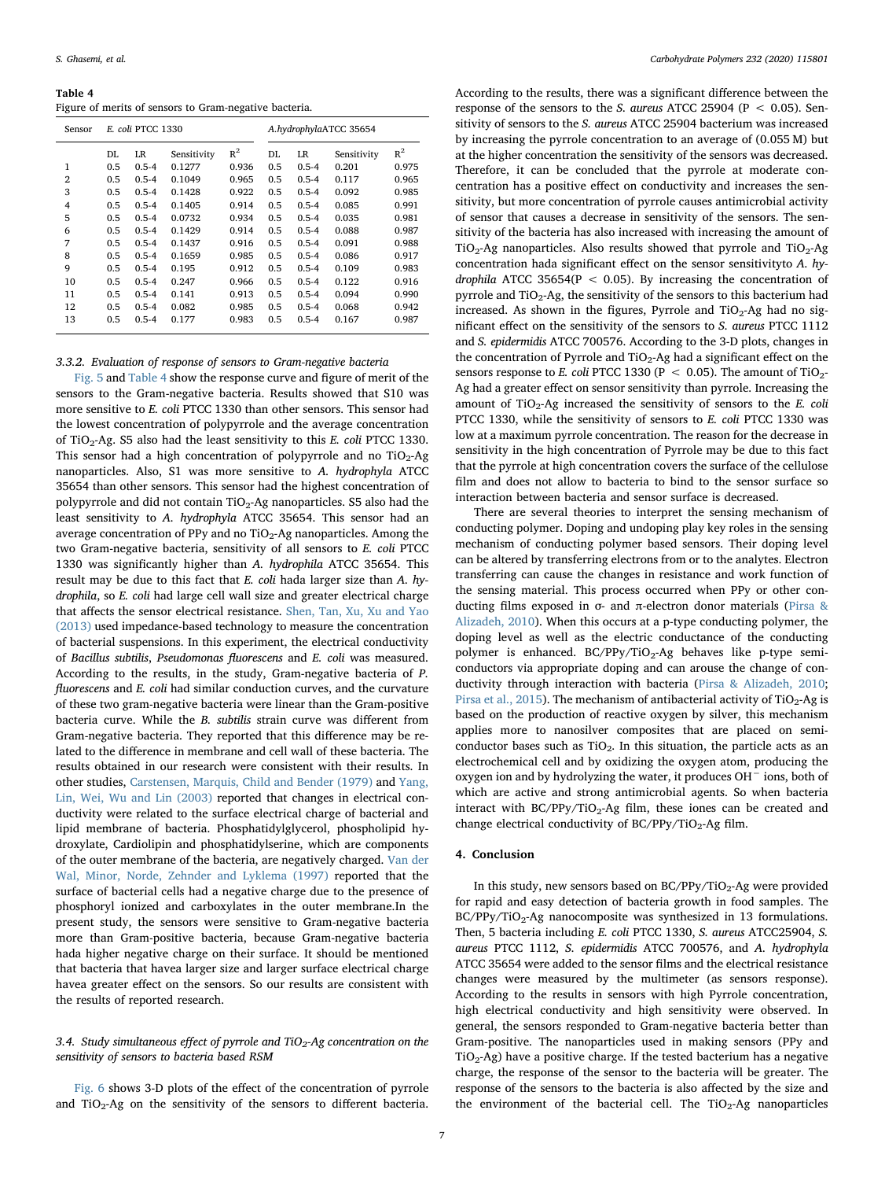<span id="page-6-0"></span>Table 4 Figure of merits of sensors to Gram-negative bacteria.

| Sensor         | E. coli PTCC 1330 |           |             |       | A.hydrophylaATCC 35654 |           |             |       |
|----------------|-------------------|-----------|-------------|-------|------------------------|-----------|-------------|-------|
|                | DL                | LR        | Sensitivity | $R^2$ | DL                     | <b>LR</b> | Sensitivity | $R^2$ |
| 1              | 0.5               | $0.5 - 4$ | 0.1277      | 0.936 | 0.5                    | $0.5 - 4$ | 0.201       | 0.975 |
| $\overline{2}$ | 0.5               | $0.5 - 4$ | 0.1049      | 0.965 | 0.5                    | $0.5 - 4$ | 0.117       | 0.965 |
| 3              | 0.5               | $0.5 - 4$ | 0.1428      | 0.922 | 0.5                    | $0.5 - 4$ | 0.092       | 0.985 |
| $\overline{4}$ | 0.5               | $0.5 - 4$ | 0.1405      | 0.914 | 0.5                    | $0.5 - 4$ | 0.085       | 0.991 |
| 5              | 0.5               | $0.5 - 4$ | 0.0732      | 0.934 | 0.5                    | $0.5 - 4$ | 0.035       | 0.981 |
| 6              | 0.5               | $0.5 - 4$ | 0.1429      | 0.914 | 0.5                    | $0.5 - 4$ | 0.088       | 0.987 |
| 7              | 0.5               | $0.5 - 4$ | 0.1437      | 0.916 | 0.5                    | $0.5 - 4$ | 0.091       | 0.988 |
| 8              | 0.5               | $0.5 - 4$ | 0.1659      | 0.985 | 0.5                    | $0.5 - 4$ | 0.086       | 0.917 |
| 9              | 0.5               | $0.5 - 4$ | 0.195       | 0.912 | 0.5                    | $0.5 - 4$ | 0.109       | 0.983 |
| 10             | 0.5               | $0.5 - 4$ | 0.247       | 0.966 | 0.5                    | $0.5 - 4$ | 0.122       | 0.916 |
| 11             | 0.5               | $0.5 - 4$ | 0.141       | 0.913 | 0.5                    | $0.5 - 4$ | 0.094       | 0.990 |
| 12             | 0.5               | $0.5 - 4$ | 0.082       | 0.985 | 0.5                    | $0.5 - 4$ | 0.068       | 0.942 |
| 13             | 0.5               | $0.5 - 4$ | 0.177       | 0.983 | 0.5                    | $0.5 - 4$ | 0.167       | 0.987 |

## 3.3.2. Evaluation of response of sensors to Gram-negative bacteria

[Fig. 5](#page-5-1) and [Table 4](#page-6-0) show the response curve and figure of merit of the sensors to the Gram-negative bacteria. Results showed that S10 was more sensitive to E. coli PTCC 1330 than other sensors. This sensor had the lowest concentration of polypyrrole and the average concentration of TiO<sub>2</sub>-Ag. S5 also had the least sensitivity to this E. coli PTCC 1330. This sensor had a high concentration of polypyrrole and no  $TiO<sub>2</sub>-Ag$ nanoparticles. Also, S1 was more sensitive to A. hydrophyla ATCC 35654 than other sensors. This sensor had the highest concentration of polypyrrole and did not contain TiO<sub>2</sub>-Ag nanoparticles. S5 also had the least sensitivity to A. hydrophyla ATCC 35654. This sensor had an average concentration of PPy and no  $TiO<sub>2</sub>$ -Ag nanoparticles. Among the two Gram-negative bacteria, sensitivity of all sensors to E. coli PTCC 1330 was significantly higher than A. hydrophila ATCC 35654. This result may be due to this fact that E. coli hada larger size than A. hydrophila, so E. coli had large cell wall size and greater electrical charge that affects the sensor electrical resistance. [Shen, Tan, Xu, Xu and Yao](#page-8-26) [\(2013\)](#page-8-26) used impedance-based technology to measure the concentration of bacterial suspensions. In this experiment, the electrical conductivity of Bacillus subtilis, Pseudomonas fluorescens and E. coli was measured. According to the results, in the study, Gram-negative bacteria of P. fluorescens and E. coli had similar conduction curves, and the curvature of these two gram-negative bacteria were linear than the Gram-positive bacteria curve. While the B. subtilis strain curve was different from Gram-negative bacteria. They reported that this difference may be related to the difference in membrane and cell wall of these bacteria. The results obtained in our research were consistent with their results. In other studies, [Carstensen, Marquis, Child and Bender \(1979\)](#page-8-27) and [Yang,](#page-8-28) [Lin, Wei, Wu and Lin \(2003\)](#page-8-28) reported that changes in electrical conductivity were related to the surface electrical charge of bacterial and lipid membrane of bacteria. Phosphatidylglycerol, phospholipid hydroxylate, Cardiolipin and phosphatidylserine, which are components of the outer membrane of the bacteria, are negatively charged. [Van der](#page-8-29) [Wal, Minor, Norde, Zehnder and Lyklema \(1997\)](#page-8-29) reported that the surface of bacterial cells had a negative charge due to the presence of phosphoryl ionized and carboxylates in the outer membrane.In the present study, the sensors were sensitive to Gram-negative bacteria more than Gram-positive bacteria, because Gram-negative bacteria hada higher negative charge on their surface. It should be mentioned that bacteria that havea larger size and larger surface electrical charge havea greater effect on the sensors. So our results are consistent with the results of reported research.

# 3.4. Study simultaneous effect of pyrrole and TiO<sub>2</sub>-Ag concentration on the sensitivity of sensors to bacteria based RSM

[Fig. 6](#page-7-0) shows 3-D plots of the effect of the concentration of pyrrole and  $TiO<sub>2</sub>$ -Ag on the sensitivity of the sensors to different bacteria.

According to the results, there was a significant difference between the response of the sensors to the S. aureus ATCC 25904 ( $P < 0.05$ ). Sensitivity of sensors to the S. aureus ATCC 25904 bacterium was increased by increasing the pyrrole concentration to an average of (0.055 M) but at the higher concentration the sensitivity of the sensors was decreased. Therefore, it can be concluded that the pyrrole at moderate concentration has a positive effect on conductivity and increases the sensitivity, but more concentration of pyrrole causes antimicrobial activity of sensor that causes a decrease in sensitivity of the sensors. The sensitivity of the bacteria has also increased with increasing the amount of  $TiO<sub>2</sub>-Ag$  nanoparticles. Also results showed that pyrrole and  $TiO<sub>2</sub>-Ag$ concentration hada significant effect on the sensor sensitivityto A. hydrophila ATCC 35654( $P < 0.05$ ). By increasing the concentration of pyrrole and  $TiO<sub>2</sub>$ -Ag, the sensitivity of the sensors to this bacterium had increased. As shown in the figures, Pyrrole and  $TiO<sub>2</sub>$ -Ag had no significant effect on the sensitivity of the sensors to S. aureus PTCC 1112 and S. epidermidis ATCC 700576. According to the 3-D plots, changes in the concentration of Pyrrole and TiO<sub>2</sub>-Ag had a significant effect on the sensors response to E. coli PTCC 1330 (P  $\leq$  0.05). The amount of TiO<sub>2</sub>-Ag had a greater effect on sensor sensitivity than pyrrole. Increasing the amount of  $TiO<sub>2</sub>$ -Ag increased the sensitivity of sensors to the E. coli PTCC 1330, while the sensitivity of sensors to E. coli PTCC 1330 was low at a maximum pyrrole concentration. The reason for the decrease in sensitivity in the high concentration of Pyrrole may be due to this fact that the pyrrole at high concentration covers the surface of the cellulose film and does not allow to bacteria to bind to the sensor surface so interaction between bacteria and sensor surface is decreased.

There are several theories to interpret the sensing mechanism of conducting polymer. Doping and undoping play key roles in the sensing mechanism of conducting polymer based sensors. Their doping level can be altered by transferring electrons from or to the analytes. Electron transferring can cause the changes in resistance and work function of the sensing material. This process occurred when PPy or other conducting films exposed in σ- and π-electron donor materials [\(Pirsa &](#page-8-30) [Alizadeh, 2010](#page-8-30)). When this occurs at a p-type conducting polymer, the doping level as well as the electric conductance of the conducting polymer is enhanced.  $BC/PPy/TiO<sub>2</sub>-Ag$  behaves like p-type semiconductors via appropriate doping and can arouse the change of conductivity through interaction with bacteria [\(Pirsa & Alizadeh, 2010](#page-8-30); [Pirsa et al., 2015](#page-8-25)). The mechanism of antibacterial activity of  $TiO<sub>2</sub>$ -Ag is based on the production of reactive oxygen by silver, this mechanism applies more to nanosilver composites that are placed on semiconductor bases such as  $TiO<sub>2</sub>$ . In this situation, the particle acts as an electrochemical cell and by oxidizing the oxygen atom, producing the oxygen ion and by hydrolyzing the water, it produces OH<sup>−</sup> ions, both of which are active and strong antimicrobial agents. So when bacteria interact with  $BC/PPy/TiO<sub>2</sub>$ -Ag film, these iones can be created and change electrical conductivity of  $BC/PPy/TiO<sub>2</sub>$ -Ag film.

# 4. Conclusion

In this study, new sensors based on BC/PPy/TiO<sub>2</sub>-Ag were provided for rapid and easy detection of bacteria growth in food samples. The BC/PPy/TiO<sub>2</sub>-Ag nanocomposite was synthesized in 13 formulations. Then, 5 bacteria including E. coli PTCC 1330, S. aureus ATCC25904, S. aureus PTCC 1112, S. epidermidis ATCC 700576, and A. hydrophyla ATCC 35654 were added to the sensor films and the electrical resistance changes were measured by the multimeter (as sensors response). According to the results in sensors with high Pyrrole concentration, high electrical conductivity and high sensitivity were observed. In general, the sensors responded to Gram-negative bacteria better than Gram-positive. The nanoparticles used in making sensors (PPy and  $TiO<sub>2</sub>-Ag$ ) have a positive charge. If the tested bacterium has a negative charge, the response of the sensor to the bacteria will be greater. The response of the sensors to the bacteria is also affected by the size and the environment of the bacterial cell. The  $TiO<sub>2</sub>$ -Ag nanoparticles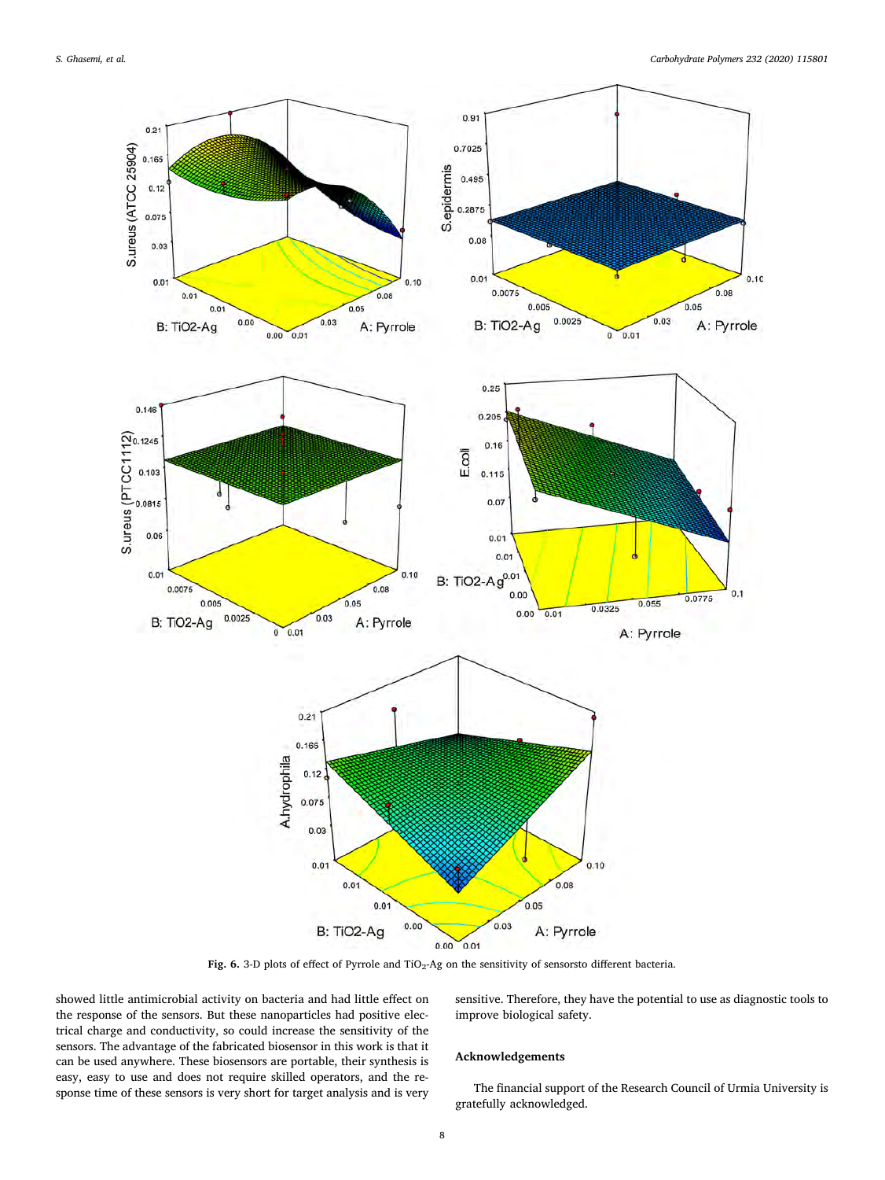<span id="page-7-0"></span>

Fig. 6. 3-D plots of effect of Pyrrole and TiO<sub>2</sub>-Ag on the sensitivity of sensorsto different bacteria.

showed little antimicrobial activity on bacteria and had little effect on the response of the sensors. But these nanoparticles had positive electrical charge and conductivity, so could increase the sensitivity of the sensors. The advantage of the fabricated biosensor in this work is that it can be used anywhere. These biosensors are portable, their synthesis is easy, easy to use and does not require skilled operators, and the response time of these sensors is very short for target analysis and is very sensitive. Therefore, they have the potential to use as diagnostic tools to improve biological safety.

# Acknowledgements

The financial support of the Research Council of Urmia University is gratefully acknowledged.